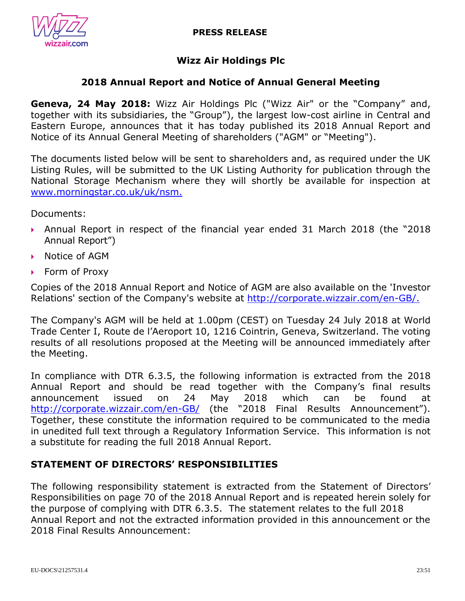

# **Wizz Air Holdings Plc**

# **2018 Annual Report and Notice of Annual General Meeting**

**Geneva, 24 May 2018:** Wizz Air Holdings Plc ("Wizz Air" or the "Company" and, together with its subsidiaries, the "Group"), the largest low-cost airline in Central and Eastern Europe, announces that it has today published its 2018 Annual Report and Notice of its Annual General Meeting of shareholders ("AGM" or "Meeting").

The documents listed below will be sent to shareholders and, as required under the UK Listing Rules, will be submitted to the UK Listing Authority for publication through the National Storage Mechanism where they will shortly be available for inspection at [www.morningstar.co.uk/uk/nsm.](http://www.morningstar.co.uk/uk/nsm)

Documents:

- Annual Report in respect of the financial year ended 31 March 2018 (the "2018 Annual Report")
- Notice of AGM
- ▶ Form of Proxy

Copies of the 2018 Annual Report and Notice of AGM are also available on the 'Investor Relations' section of the Company's website at [http://corporate.wizzair.com/en-GB/.](http://corporate.wizzair.com/en-GB/)

The Company's AGM will be held at 1.00pm (CEST) on Tuesday 24 July 2018 at World Trade Center I, Route de l'Aeroport 10, 1216 Cointrin, Geneva, Switzerland. The voting results of all resolutions proposed at the Meeting will be announced immediately after the Meeting.

In compliance with DTR 6.3.5, the following information is extracted from the 2018 Annual Report and should be read together with the Company's final results announcement issued on 24 May 2018 which can be found at <http://corporate.wizzair.com/en-GB/> (the "2018 Final Results Announcement"). Together, these constitute the information required to be communicated to the media in unedited full text through a Regulatory Information Service. This information is not a substitute for reading the full 2018 Annual Report.

### **STATEMENT OF DIRECTORS' RESPONSIBILITIES**

The following responsibility statement is extracted from the Statement of Directors' Responsibilities on page 70 of the 2018 Annual Report and is repeated herein solely for the purpose of complying with DTR 6.3.5. The statement relates to the full 2018 Annual Report and not the extracted information provided in this announcement or the 2018 Final Results Announcement: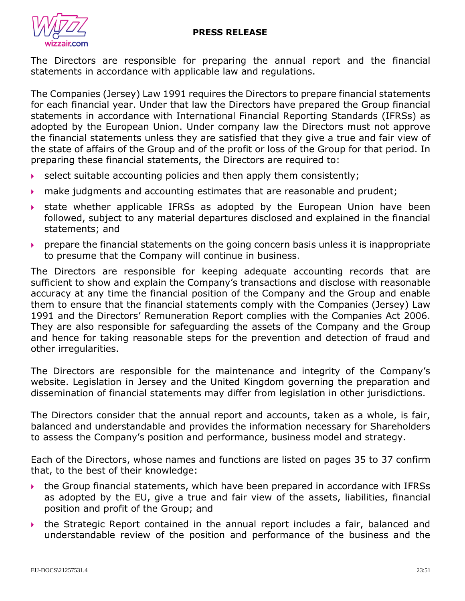

The Directors are responsible for preparing the annual report and the financial statements in accordance with applicable law and regulations.

The Companies (Jersey) Law 1991 requires the Directors to prepare financial statements for each financial year. Under that law the Directors have prepared the Group financial statements in accordance with International Financial Reporting Standards (IFRSs) as adopted by the European Union. Under company law the Directors must not approve the financial statements unless they are satisfied that they give a true and fair view of the state of affairs of the Group and of the profit or loss of the Group for that period. In preparing these financial statements, the Directors are required to:

- $\triangleright$  select suitable accounting policies and then apply them consistently;
- make judgments and accounting estimates that are reasonable and prudent;
- state whether applicable IFRSs as adopted by the European Union have been followed, subject to any material departures disclosed and explained in the financial statements; and
- $\rightarrow$  prepare the financial statements on the going concern basis unless it is inappropriate to presume that the Company will continue in business.

The Directors are responsible for keeping adequate accounting records that are sufficient to show and explain the Company's transactions and disclose with reasonable accuracy at any time the financial position of the Company and the Group and enable them to ensure that the financial statements comply with the Companies (Jersey) Law 1991 and the Directors' Remuneration Report complies with the Companies Act 2006. They are also responsible for safeguarding the assets of the Company and the Group and hence for taking reasonable steps for the prevention and detection of fraud and other irregularities.

The Directors are responsible for the maintenance and integrity of the Company's website. Legislation in Jersey and the United Kingdom governing the preparation and dissemination of financial statements may differ from legislation in other jurisdictions.

The Directors consider that the annual report and accounts, taken as a whole, is fair, balanced and understandable and provides the information necessary for Shareholders to assess the Company's position and performance, business model and strategy.

Each of the Directors, whose names and functions are listed on pages 35 to 37 confirm that, to the best of their knowledge:

- the Group financial statements, which have been prepared in accordance with IFRSs as adopted by the EU, give a true and fair view of the assets, liabilities, financial position and profit of the Group; and
- the Strategic Report contained in the annual report includes a fair, balanced and understandable review of the position and performance of the business and the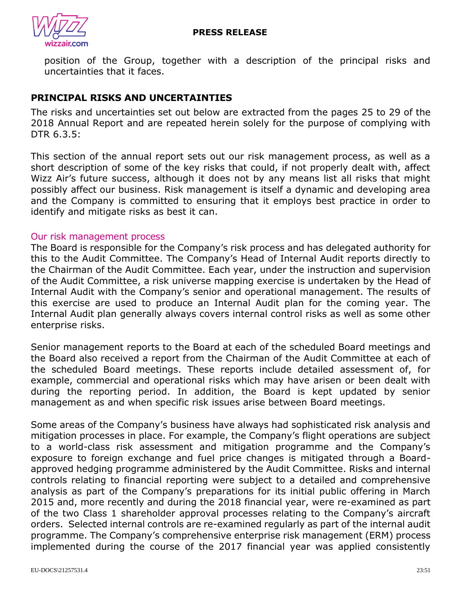

position of the Group, together with a description of the principal risks and uncertainties that it faces.

# **PRINCIPAL RISKS AND UNCERTAINTIES**

The risks and uncertainties set out below are extracted from the pages 25 to 29 of the 2018 Annual Report and are repeated herein solely for the purpose of complying with DTR 6.3.5:

This section of the annual report sets out our risk management process, as well as a short description of some of the key risks that could, if not properly dealt with, affect Wizz Air's future success, although it does not by any means list all risks that might possibly affect our business. Risk management is itself a dynamic and developing area and the Company is committed to ensuring that it employs best practice in order to identify and mitigate risks as best it can.

### Our risk management process

The Board is responsible for the Company's risk process and has delegated authority for this to the Audit Committee. The Company's Head of Internal Audit reports directly to the Chairman of the Audit Committee. Each year, under the instruction and supervision of the Audit Committee, a risk universe mapping exercise is undertaken by the Head of Internal Audit with the Company's senior and operational management. The results of this exercise are used to produce an Internal Audit plan for the coming year. The Internal Audit plan generally always covers internal control risks as well as some other enterprise risks.

Senior management reports to the Board at each of the scheduled Board meetings and the Board also received a report from the Chairman of the Audit Committee at each of the scheduled Board meetings. These reports include detailed assessment of, for example, commercial and operational risks which may have arisen or been dealt with during the reporting period. In addition, the Board is kept updated by senior management as and when specific risk issues arise between Board meetings.

Some areas of the Company's business have always had sophisticated risk analysis and mitigation processes in place. For example, the Company's flight operations are subject to a world-class risk assessment and mitigation programme and the Company's exposure to foreign exchange and fuel price changes is mitigated through a Boardapproved hedging programme administered by the Audit Committee. Risks and internal controls relating to financial reporting were subject to a detailed and comprehensive analysis as part of the Company's preparations for its initial public offering in March 2015 and, more recently and during the 2018 financial year, were re-examined as part of the two Class 1 shareholder approval processes relating to the Company's aircraft orders. Selected internal controls are re-examined regularly as part of the internal audit programme. The Company's comprehensive enterprise risk management (ERM) process implemented during the course of the 2017 financial year was applied consistently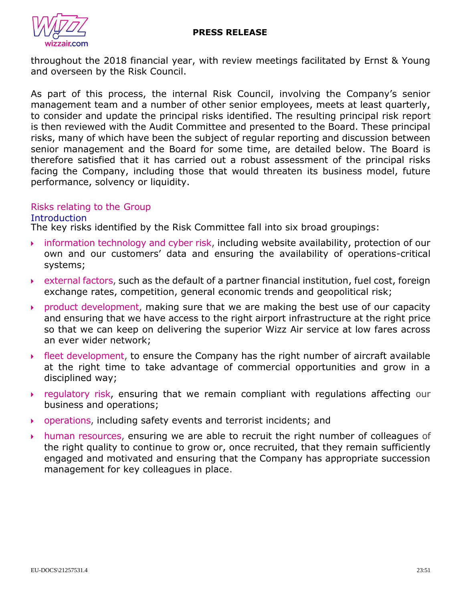

throughout the 2018 financial year, with review meetings facilitated by Ernst & Young and overseen by the Risk Council.

As part of this process, the internal Risk Council, involving the Company's senior management team and a number of other senior employees, meets at least quarterly, to consider and update the principal risks identified. The resulting principal risk report is then reviewed with the Audit Committee and presented to the Board. These principal risks, many of which have been the subject of regular reporting and discussion between senior management and the Board for some time, are detailed below. The Board is therefore satisfied that it has carried out a robust assessment of the principal risks facing the Company, including those that would threaten its business model, future performance, solvency or liquidity.

### Risks relating to the Group

### **Introduction**

The key risks identified by the Risk Committee fall into six broad groupings:

- $\rightarrow$  information technology and cyber risk, including website availability, protection of our own and our customers' data and ensuring the availability of operations-critical systems;
- external factors, such as the default of a partner financial institution, fuel cost, foreign exchange rates, competition, general economic trends and geopolitical risk;
- $\rightarrow$  product development, making sure that we are making the best use of our capacity and ensuring that we have access to the right airport infrastructure at the right price so that we can keep on delivering the superior Wizz Air service at low fares across an ever wider network;
- fleet development, to ensure the Company has the right number of aircraft available at the right time to take advantage of commercial opportunities and grow in a disciplined way;
- $\rightarrow$  regulatory risk, ensuring that we remain compliant with regulations affecting our business and operations;
- operations, including safety events and terrorist incidents; and
- $\rightarrow$  human resources, ensuring we are able to recruit the right number of colleagues of the right quality to continue to grow or, once recruited, that they remain sufficiently engaged and motivated and ensuring that the Company has appropriate succession management for key colleagues in place.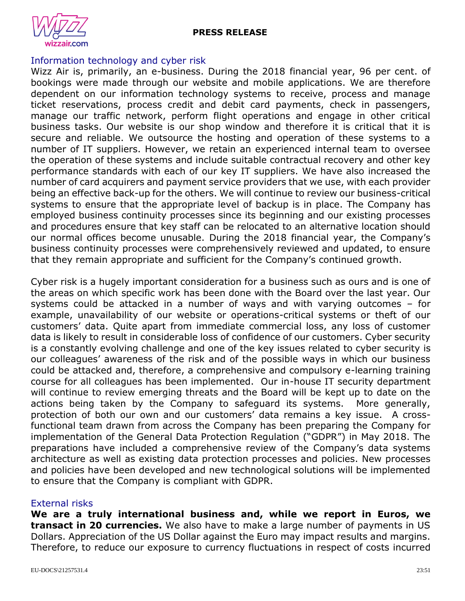



### Information technology and cyber risk

Wizz Air is, primarily, an e-business. During the 2018 financial year, 96 per cent. of bookings were made through our website and mobile applications. We are therefore dependent on our information technology systems to receive, process and manage ticket reservations, process credit and debit card payments, check in passengers, manage our traffic network, perform flight operations and engage in other critical business tasks. Our website is our shop window and therefore it is critical that it is secure and reliable. We outsource the hosting and operation of these systems to a number of IT suppliers. However, we retain an experienced internal team to oversee the operation of these systems and include suitable contractual recovery and other key performance standards with each of our key IT suppliers. We have also increased the number of card acquirers and payment service providers that we use, with each provider being an effective back-up for the others. We will continue to review our business-critical systems to ensure that the appropriate level of backup is in place. The Company has employed business continuity processes since its beginning and our existing processes and procedures ensure that key staff can be relocated to an alternative location should our normal offices become unusable. During the 2018 financial year, the Company's business continuity processes were comprehensively reviewed and updated, to ensure that they remain appropriate and sufficient for the Company's continued growth.

Cyber risk is a hugely important consideration for a business such as ours and is one of the areas on which specific work has been done with the Board over the last year. Our systems could be attacked in a number of ways and with varying outcomes – for example, unavailability of our website or operations-critical systems or theft of our customers' data. Quite apart from immediate commercial loss, any loss of customer data is likely to result in considerable loss of confidence of our customers. Cyber security is a constantly evolving challenge and one of the key issues related to cyber security is our colleagues' awareness of the risk and of the possible ways in which our business could be attacked and, therefore, a comprehensive and compulsory e-learning training course for all colleagues has been implemented. Our in-house IT security department will continue to review emerging threats and the Board will be kept up to date on the actions being taken by the Company to safeguard its systems. More generally, protection of both our own and our customers' data remains a key issue. A crossfunctional team drawn from across the Company has been preparing the Company for implementation of the General Data Protection Regulation ("GDPR") in May 2018. The preparations have included a comprehensive review of the Company's data systems architecture as well as existing data protection processes and policies. New processes and policies have been developed and new technological solutions will be implemented to ensure that the Company is compliant with GDPR.

#### External risks

**We are a truly international business and, while we report in Euros, we transact in 20 currencies.** We also have to make a large number of payments in US Dollars. Appreciation of the US Dollar against the Euro may impact results and margins. Therefore, to reduce our exposure to currency fluctuations in respect of costs incurred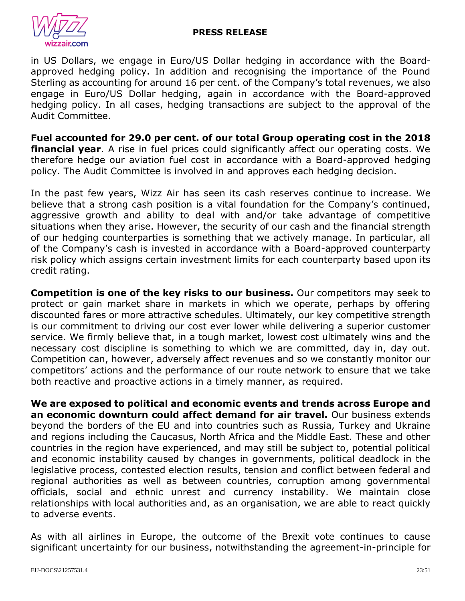

in US Dollars, we engage in Euro/US Dollar hedging in accordance with the Boardapproved hedging policy. In addition and recognising the importance of the Pound Sterling as accounting for around 16 per cent. of the Company's total revenues, we also engage in Euro/US Dollar hedging, again in accordance with the Board-approved hedging policy. In all cases, hedging transactions are subject to the approval of the Audit Committee.

**Fuel accounted for 29.0 per cent. of our total Group operating cost in the 2018 financial year**. A rise in fuel prices could significantly affect our operating costs. We therefore hedge our aviation fuel cost in accordance with a Board-approved hedging policy. The Audit Committee is involved in and approves each hedging decision.

In the past few years, Wizz Air has seen its cash reserves continue to increase. We believe that a strong cash position is a vital foundation for the Company's continued, aggressive growth and ability to deal with and/or take advantage of competitive situations when they arise. However, the security of our cash and the financial strength of our hedging counterparties is something that we actively manage. In particular, all of the Company's cash is invested in accordance with a Board-approved counterparty risk policy which assigns certain investment limits for each counterparty based upon its credit rating.

**Competition is one of the key risks to our business.** Our competitors may seek to protect or gain market share in markets in which we operate, perhaps by offering discounted fares or more attractive schedules. Ultimately, our key competitive strength is our commitment to driving our cost ever lower while delivering a superior customer service. We firmly believe that, in a tough market, lowest cost ultimately wins and the necessary cost discipline is something to which we are committed, day in, day out. Competition can, however, adversely affect revenues and so we constantly monitor our competitors' actions and the performance of our route network to ensure that we take both reactive and proactive actions in a timely manner, as required.

**We are exposed to political and economic events and trends across Europe and an economic downturn could affect demand for air travel.** Our business extends beyond the borders of the EU and into countries such as Russia, Turkey and Ukraine and regions including the Caucasus, North Africa and the Middle East. These and other countries in the region have experienced, and may still be subject to, potential political and economic instability caused by changes in governments, political deadlock in the legislative process, contested election results, tension and conflict between federal and regional authorities as well as between countries, corruption among governmental officials, social and ethnic unrest and currency instability. We maintain close relationships with local authorities and, as an organisation, we are able to react quickly to adverse events.

As with all airlines in Europe, the outcome of the Brexit vote continues to cause significant uncertainty for our business, notwithstanding the agreement-in-principle for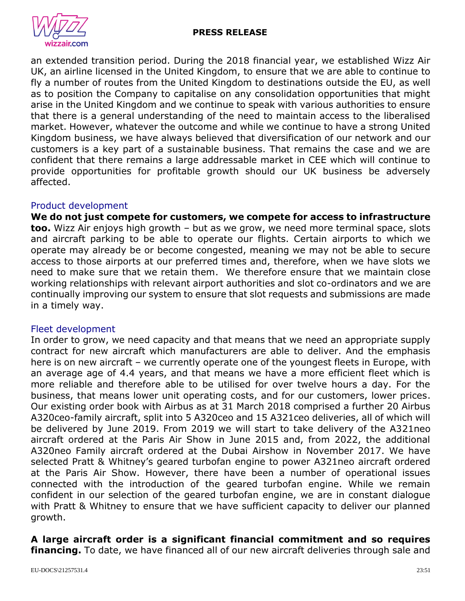

an extended transition period. During the 2018 financial year, we established Wizz Air UK, an airline licensed in the United Kingdom, to ensure that we are able to continue to fly a number of routes from the United Kingdom to destinations outside the EU, as well as to position the Company to capitalise on any consolidation opportunities that might arise in the United Kingdom and we continue to speak with various authorities to ensure that there is a general understanding of the need to maintain access to the liberalised market. However, whatever the outcome and while we continue to have a strong United Kingdom business, we have always believed that diversification of our network and our customers is a key part of a sustainable business. That remains the case and we are confident that there remains a large addressable market in CEE which will continue to provide opportunities for profitable growth should our UK business be adversely affected.

### Product development

**We do not just compete for customers, we compete for access to infrastructure too.** Wizz Air enjoys high growth – but as we grow, we need more terminal space, slots and aircraft parking to be able to operate our flights. Certain airports to which we operate may already be or become congested, meaning we may not be able to secure access to those airports at our preferred times and, therefore, when we have slots we need to make sure that we retain them. We therefore ensure that we maintain close working relationships with relevant airport authorities and slot co-ordinators and we are continually improving our system to ensure that slot requests and submissions are made in a timely way.

### Fleet development

In order to grow, we need capacity and that means that we need an appropriate supply contract for new aircraft which manufacturers are able to deliver. And the emphasis here is on new aircraft – we currently operate one of the youngest fleets in Europe, with an average age of 4.4 years, and that means we have a more efficient fleet which is more reliable and therefore able to be utilised for over twelve hours a day. For the business, that means lower unit operating costs, and for our customers, lower prices. Our existing order book with Airbus as at 31 March 2018 comprised a further 20 Airbus A320ceo-family aircraft, split into 5 A320ceo and 15 A321ceo deliveries, all of which will be delivered by June 2019. From 2019 we will start to take delivery of the A321neo aircraft ordered at the Paris Air Show in June 2015 and, from 2022, the additional A320neo Family aircraft ordered at the Dubai Airshow in November 2017. We have selected Pratt & Whitney's geared turbofan engine to power A321neo aircraft ordered at the Paris Air Show. However, there have been a number of operational issues connected with the introduction of the geared turbofan engine. While we remain confident in our selection of the geared turbofan engine, we are in constant dialogue with Pratt & Whitney to ensure that we have sufficient capacity to deliver our planned growth.

### **A large aircraft order is a significant financial commitment and so requires financing.** To date, we have financed all of our new aircraft deliveries through sale and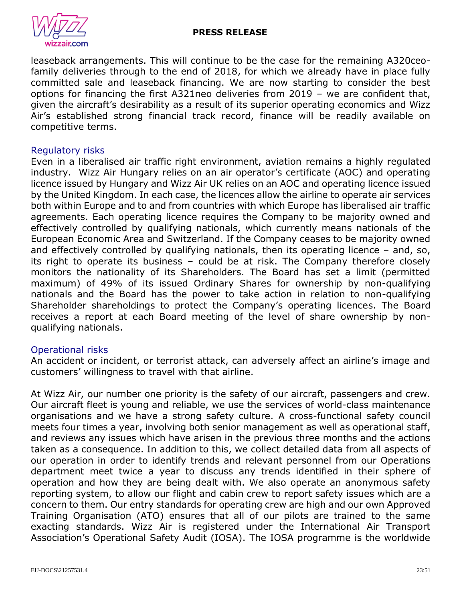

leaseback arrangements. This will continue to be the case for the remaining A320ceofamily deliveries through to the end of 2018, for which we already have in place fully committed sale and leaseback financing. We are now starting to consider the best options for financing the first A321neo deliveries from 2019 – we are confident that, given the aircraft's desirability as a result of its superior operating economics and Wizz Air's established strong financial track record, finance will be readily available on competitive terms.

### Regulatory risks

Even in a liberalised air traffic right environment, aviation remains a highly regulated industry. Wizz Air Hungary relies on an air operator's certificate (AOC) and operating licence issued by Hungary and Wizz Air UK relies on an AOC and operating licence issued by the United Kingdom. In each case, the licences allow the airline to operate air services both within Europe and to and from countries with which Europe has liberalised air traffic agreements. Each operating licence requires the Company to be majority owned and effectively controlled by qualifying nationals, which currently means nationals of the European Economic Area and Switzerland. If the Company ceases to be majority owned and effectively controlled by qualifying nationals, then its operating licence – and, so, its right to operate its business – could be at risk. The Company therefore closely monitors the nationality of its Shareholders. The Board has set a limit (permitted maximum) of 49% of its issued Ordinary Shares for ownership by non-qualifying nationals and the Board has the power to take action in relation to non-qualifying Shareholder shareholdings to protect the Company's operating licences. The Board receives a report at each Board meeting of the level of share ownership by nonqualifying nationals.

### Operational risks

An accident or incident, or terrorist attack, can adversely affect an airline's image and customers' willingness to travel with that airline.

At Wizz Air, our number one priority is the safety of our aircraft, passengers and crew. Our aircraft fleet is young and reliable, we use the services of world-class maintenance organisations and we have a strong safety culture. A cross-functional safety council meets four times a year, involving both senior management as well as operational staff, and reviews any issues which have arisen in the previous three months and the actions taken as a consequence. In addition to this, we collect detailed data from all aspects of our operation in order to identify trends and relevant personnel from our Operations department meet twice a year to discuss any trends identified in their sphere of operation and how they are being dealt with. We also operate an anonymous safety reporting system, to allow our flight and cabin crew to report safety issues which are a concern to them. Our entry standards for operating crew are high and our own Approved Training Organisation (ATO) ensures that all of our pilots are trained to the same exacting standards. Wizz Air is registered under the International Air Transport Association's Operational Safety Audit (IOSA). The IOSA programme is the worldwide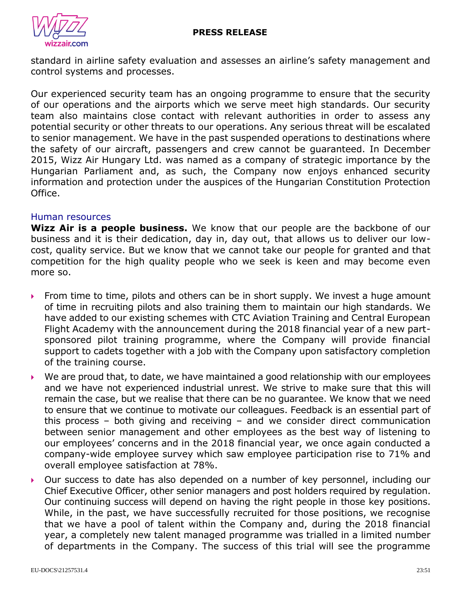

standard in airline safety evaluation and assesses an airline's safety management and control systems and processes.

Our experienced security team has an ongoing programme to ensure that the security of our operations and the airports which we serve meet high standards. Our security team also maintains close contact with relevant authorities in order to assess any potential security or other threats to our operations. Any serious threat will be escalated to senior management. We have in the past suspended operations to destinations where the safety of our aircraft, passengers and crew cannot be guaranteed. In December 2015, Wizz Air Hungary Ltd. was named as a company of strategic importance by the Hungarian Parliament and, as such, the Company now enjoys enhanced security information and protection under the auspices of the Hungarian Constitution Protection Office.

### Human resources

**Wizz Air is a people business.** We know that our people are the backbone of our business and it is their dedication, day in, day out, that allows us to deliver our lowcost, quality service. But we know that we cannot take our people for granted and that competition for the high quality people who we seek is keen and may become even more so.

- From time to time, pilots and others can be in short supply. We invest a huge amount of time in recruiting pilots and also training them to maintain our high standards. We have added to our existing schemes with CTC Aviation Training and Central European Flight Academy with the announcement during the 2018 financial year of a new partsponsored pilot training programme, where the Company will provide financial support to cadets together with a job with the Company upon satisfactory completion of the training course.
- $\triangleright$  We are proud that, to date, we have maintained a good relationship with our employees and we have not experienced industrial unrest. We strive to make sure that this will remain the case, but we realise that there can be no guarantee. We know that we need to ensure that we continue to motivate our colleagues. Feedback is an essential part of this process – both giving and receiving – and we consider direct communication between senior management and other employees as the best way of listening to our employees' concerns and in the 2018 financial year, we once again conducted a company-wide employee survey which saw employee participation rise to 71% and overall employee satisfaction at 78%.
- Our success to date has also depended on a number of key personnel, including our Chief Executive Officer, other senior managers and post holders required by regulation. Our continuing success will depend on having the right people in those key positions. While, in the past, we have successfully recruited for those positions, we recognise that we have a pool of talent within the Company and, during the 2018 financial year, a completely new talent managed programme was trialled in a limited number of departments in the Company. The success of this trial will see the programme